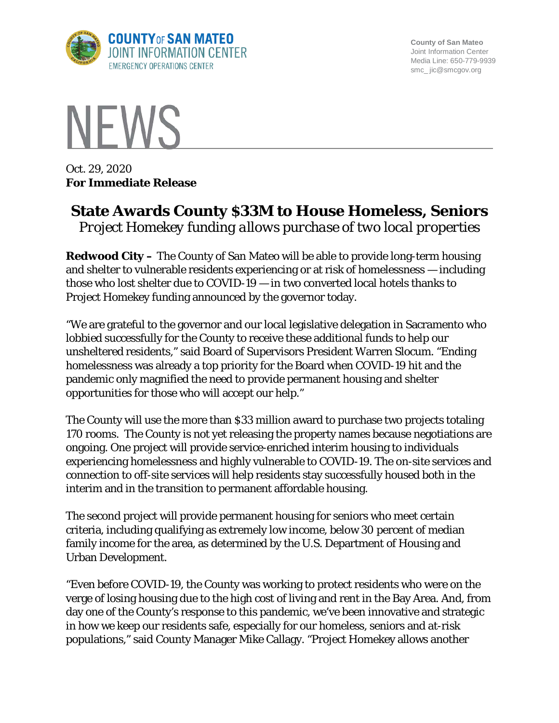

**County of San Mateo** Joint Information Center Media Line: 650-779-9939 smc\_ jic@smcgov.org



Oct. 29, 2020 **For Immediate Release**

## **State Awards County \$33M to House Homeless, Seniors** *Project Homekey funding allows purchase of two local properties*

**Redwood City –** The County of San Mateo will be able to provide long-term housing and shelter to vulnerable residents experiencing or at risk of homelessness — including those who lost shelter due to COVID-19 — in two converted local hotels thanks to Project Homekey funding announced by the governor today.

"We are grateful to the governor and our local legislative delegation in Sacramento who lobbied successfully for the County to receive these additional funds to help our unsheltered residents," said Board of Supervisors President Warren Slocum. "Ending homelessness was already a top priority for the Board when COVID-19 hit and the pandemic only magnified the need to provide permanent housing and shelter opportunities for those who will accept our help."

The County will use the more than \$33 million award to purchase two projects totaling 170 rooms. The County is not yet releasing the property names because negotiations are ongoing. One project will provide service-enriched interim housing to individuals experiencing homelessness and highly vulnerable to COVID-19. The on-site services and connection to off-site services will help residents stay successfully housed both in the interim and in the transition to permanent affordable housing.

The second project will provide permanent housing for seniors who meet certain criteria, including qualifying as extremely low income, below 30 percent of median family income for the area, as determined by the U.S. Department of Housing and Urban Development.

"Even before COVID-19, the County was working to protect residents who were on the verge of losing housing due to the high cost of living and rent in the Bay Area. And, from day one of the County's response to this pandemic, we've been innovative and strategic in how we keep our residents safe, especially for our homeless, seniors and at-risk populations," said County Manager Mike Callagy. "Project Homekey allows another